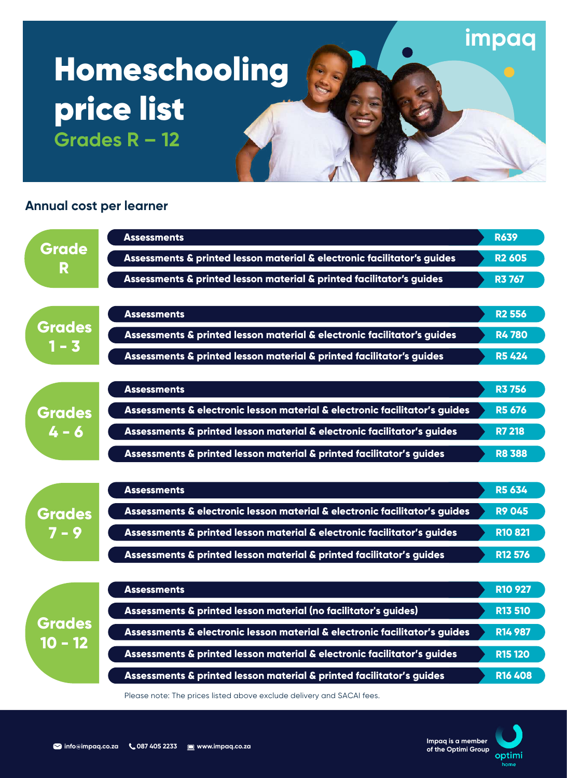# Homeschooling price list **Grades R – 12**

# **Annual cost per learner**



Please note: The prices listed above exclude delivery and SACAI fees.



**impaq**